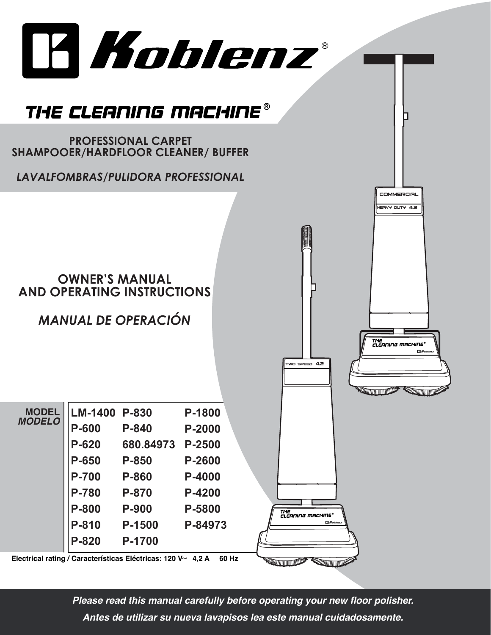

*Please read this manual carefully before operating your new floor polisher. Antes de utilizar su nueva lavapisos lea este manual cuidadosamente.*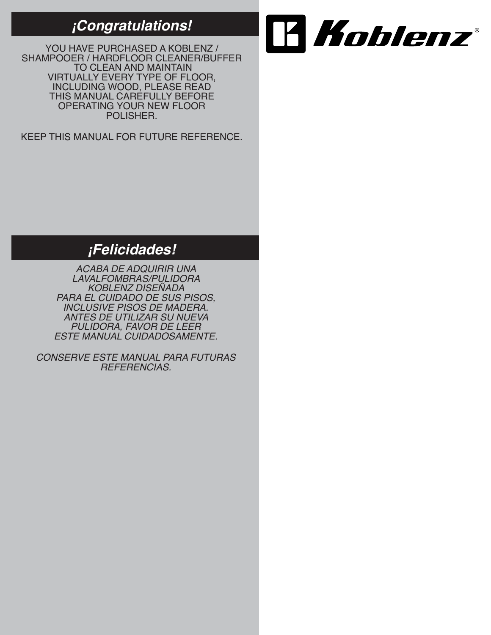### *¡Congratulations!*

YOU HAVE PURCHASED A KOBLENZ / SHAMPOOER / HARDFLOOR CLEANER/BUFFER TO CLEAN AND MAINTAIN VIRTUALLY EVERY TYPE OF FLOOR, INCLUDING WOOD, PLEASE READ THIS MANUAL CAREFULLY BEFORE OPERATING YOUR NEW FLOOR POLISHER.

KEEP THIS MANUAL FOR FUTURE REFERENCE.



# *¡Felicidades!*

*ACABA DE ADQUIRIR UNA LAVALFOMBRAS/PULIDORA KOBLENZ DISEÑADA PARA EL CUIDADO DE SUS PISOS, INCLUSIVE PISOS DE MADERA. ANTES DE UTILIZAR SU NUEVA PULIDORA, FAVOR DE LEER ESTE MANUAL CUIDADOSAMENTE.*

*CONSERVE ESTE MANUAL PARA FUTURAS REFERENCIAS.*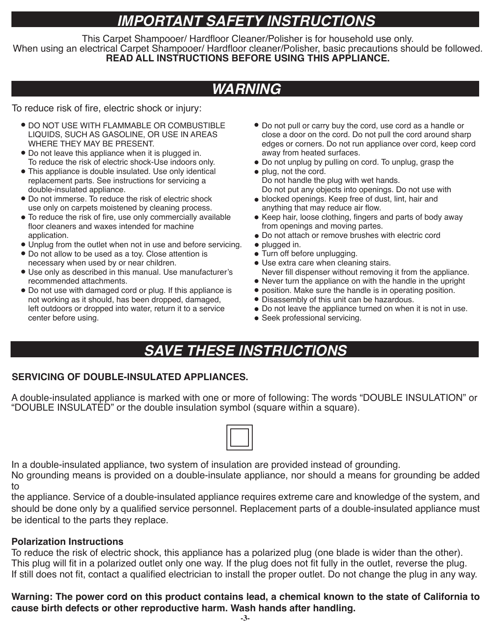# *IMPORTANT SAFETY INSTRUCTIONS*

This Carpet Shampooer/ Hardfloor Cleaner/Polisher is for household use only. When using an electrical Carpet Shampooer/ Hardfloor cleaner/Polisher, basic precautions should be followed. **READ ALL INSTRUCTIONS BEFORE USING THIS APPLIANCE.**

# *WARNING*

To reduce risk of fire, electric shock or injury:

- **DO NOT USE WITH FLAMMABLE OR COMBUSTIBLE** LIQUIDS, SUCH AS GASOLINE, OR USE IN AREAS WHERE THEY MAY BE PRESENT.
- Do not leave this appliance when it is plugged in. To reduce the risk of electric shock-Use indoors only.
- This appliance is double insulated. Use only identical replacement parts. See instructions for servicing a double-insulated appliance.
- Do not immerse. To reduce the risk of electric shock use only on carpets moistened by cleaning process.
- To reduce the risk of fire, use only commercially available floor cleaners and waxes intended for machine application.
- Unplug from the outlet when not in use and before servicing.
- Do not allow to be used as a toy. Close attention is necessary when used by or near children.
- Use only as described in this manual. Use manufacturer's recommended attachments.
- Do not use with damaged cord or plug. If this appliance is not working as it should, has been dropped, damaged, left outdoors or dropped into water, return it to a service center before using.
- Do not pull or carry buy the cord, use cord as a handle or close a door on the cord. Do not pull the cord around sharp edges or corners. Do not run appliance over cord, keep cord away from heated surfaces.
- Do not unplug by pulling on cord. To unplug, grasp the
- plug, not the cord. Do not handle the plug with wet hands. Do not put any objects into openings. Do not use with
- blocked openings. Keep free of dust, lint, hair and anything that may reduce air flow.
- Keep hair, loose clothing, fingers and parts of body away from openings and moving partes.
- Do not attach or remove brushes with electric cord
- plugged in.
- Turn off before unplugging. Use extra care when cleaning stairs. Never fill dispenser without removing it from the appliance.
- Never turn the appliance on with the handle in the upright
- position. Make sure the handle is in operating position.
- Disassembly of this unit can be hazardous.
- 
- Do not leave the appliance turned on when it is not in use.
- Seek professional servicing.

# *SAVE THESE INSTRUCTIONS*

### **SERVICING OF DOUBLE-INSULATED APPLIANCES.**

A double-insulated appliance is marked with one or more of following: The words "DOUBLE INSULATION" or "DOUBLE INSULATED" or the double insulation symbol (square within a square).



In a double-insulated appliance, two system of insulation are provided instead of grounding.

No grounding means is provided on a double-insulate appliance, nor should a means for grounding be added to

the appliance. Service of a double-insulated appliance requires extreme care and knowledge of the system, and should be done only by a qualified service personnel. Replacement parts of a double-insulated appliance must be identical to the parts they replace.

### **Polarization Instructions**

To reduce the risk of electric shock, this appliance has a polarized plug (one blade is wider than the other). This plug will fit in a polarized outlet only one way. If the plug does not fit fully in the outlet, reverse the plug. If still does not fit, contact a qualified electrician to install the proper outlet. Do not change the plug in any way.

### **Warning: The power cord on this product contains lead, a chemical known to the state of California to cause birth defects or other reproductive harm. Wash hands after handling.**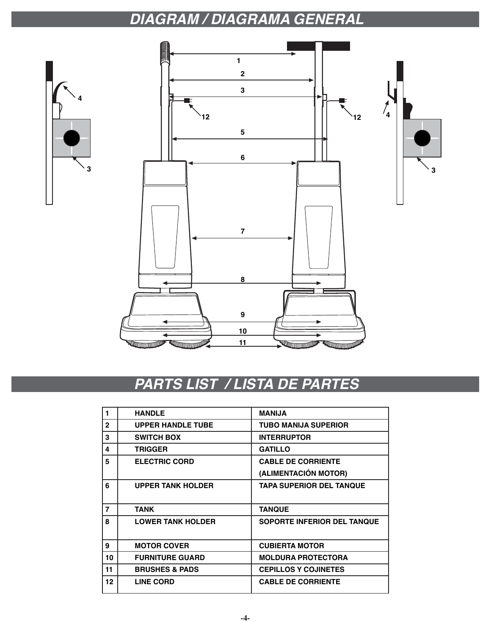# *DIAGRAM / DIAGRAMA GENERAL*



# *PARTS LIST / LISTA DE PARTES*

| 1            | <b>HANDLE</b>             | <b>MANIJA</b>                      |
|--------------|---------------------------|------------------------------------|
| $\mathbf{2}$ | <b>UPPER HANDLE TUBE</b>  | <b>TUBO MANIJA SUPERIOR</b>        |
| 3            | <b>SWITCH BOX</b>         | <b>INTERRUPTOR</b>                 |
| 4            | TRIGGER                   | <b>GATILLO</b>                     |
| 5            | <b>ELECTRIC CORD</b>      | <b>CABLE DE CORRIENTE</b>          |
|              |                           | (ALIMENTACIÓN MOTOR)               |
| 6            | <b>UPPER TANK HOLDER</b>  | <b>TAPA SUPERIOR DEL TANQUE</b>    |
|              |                           |                                    |
| 7            | <b>TANK</b>               | <b>TANQUE</b>                      |
| 8            | <b>LOWER TANK HOLDER</b>  | <b>SOPORTE INFERIOR DEL TANQUE</b> |
|              |                           |                                    |
| 9            | <b>MOTOR COVER</b>        | <b>CUBIERTA MOTOR</b>              |
| 10           | <b>FURNITURE GUARD</b>    | <b>MOLDURA PROTECTORA</b>          |
| 11           | <b>BRUSHES &amp; PADS</b> | <b>CEPILLOS Y COJINETES</b>        |
| 12           | <b>LINE CORD</b>          | <b>CABLE DE CORRIENTE</b>          |
|              |                           |                                    |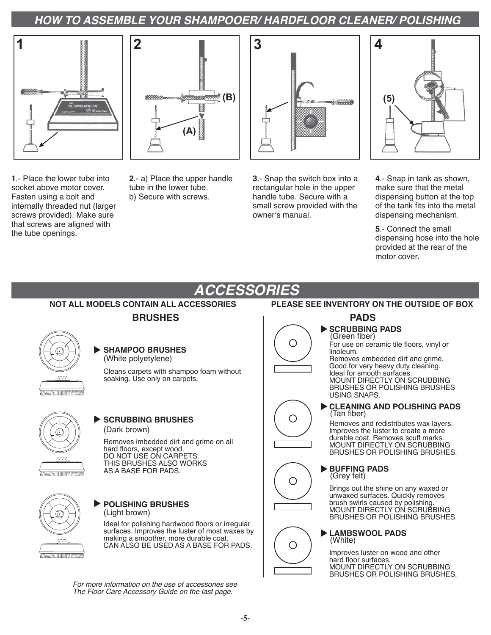### *HOW TO ASSEMBLE YOUR SHAMPOOER/ HARDFLOOR CLEANER/ POLISHING*





**1**.- Place the lower tube into socket above motor cover. Fasten using a bolt and internally threaded nut (larger screws provided). Make sure that screws are aligned with the tube openings.

**2**.- a) Place the upper handle tube in the lower tube. b) Secure with screws.



**3**.- Snap the switch box into a rectangular hole in the upper handle tube. Secure with a small screw provided with the owner's manual.



**4**.- Snap in tank as shown, make sure that the metal dispensing button at the top of the tank fits into the metal dispensing mechanism.

**5**.- Connect the small dispensing hose into the hole provided at the rear of the motor cover.

#### *ACCESSORIES* **NOT ALL MODELS CONTAIN ALL ACCESSORIES PLEASE SEE INVENTORY ON THE OUTSIDE OF BOXBRUSHES PADS SCRUBBING PADS** (Green fiber)  $\bigcirc$ For use on ceramic tile floors, vinyl or **SHAMPOO BRUSHES** linoleum. (White polyetylene) Removes embedded dirt and grime. Good for very heavy duty cleaning. Cleans carpets with shampoo foam without Ideal for smooth surfaces. soaking. Use only on carpets. MOUNT DIRECTLY ON SCRUBBING BRUSHES OR POLISHING BRUSHES USING SNAPS. **CLEANING AND POLISHING PADS** (Tan fiber) ○ **SCRUBBING BRUSHES** Removes and redistributes wax layers. (Dark brown) Improves the luster to create a more durable coat. Removes scuff marks. Removes imbedded dirt and grime on all MOUNT DIRECTLY ON SCRUBBING hard floors, except wood. BRUSHES OR POLISHING BRUSHES. DO NOT USE ON CARPETS. noor THIS BRUSHES ALSO WORKS **BUFFING PADS** AS A BASE FOR PADS. mummummumm (Grey felt) О Brings out the shine on any waxed or unwaxed surfaces. Quickly removes brush swirls caused by polishing. **POLISHING BRUSHES** MOUNT DIRECTLY ON SCRUBBING (Light brown) BRUSHES OR POLISHING BRUSHES. Ideal for polishing hardwood floors or irregular surfaces. Improves the luster of most waxes by **LAMBSWOOL PADS** making a smoother, more durable coat. (White) CAN ALSO BE USED AS A BASE FOR PADS. Ο Improves luster on wood and other hard floor surfaces. MOUNT DIRECTLY ON SCRUBBING BRUSHES OR POLISHING BRUSHES.

*For more information on the use of accessories see The Floor Care Accessory Guide on the last page.*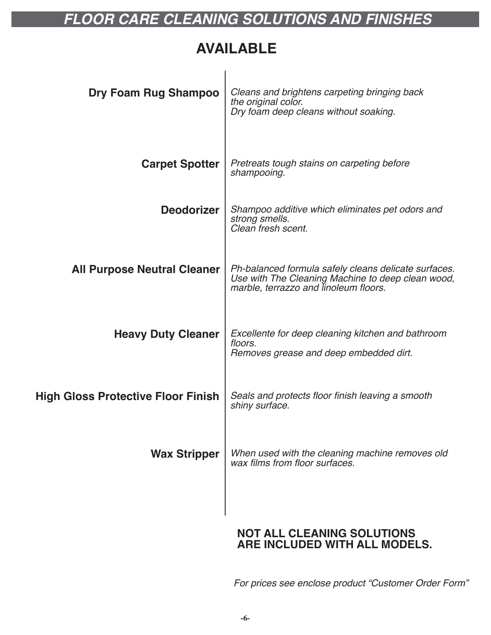# *FLOOR CARE CLEANING SOLUTIONS AND FINISHES*

### **AVAILABLE**

| Dry Foam Rug Shampoo                      | Cleans and brightens carpeting bringing back<br>the original color.<br>Dry foam deep cleans without soaking.                                       |
|-------------------------------------------|----------------------------------------------------------------------------------------------------------------------------------------------------|
| <b>Carpet Spotter</b>                     | Pretreats tough stains on carpeting before<br>shampooing.                                                                                          |
| <b>Deodorizer</b>                         | Shampoo additive which eliminates pet odors and<br>strong smells.<br>Clean fresh scent.                                                            |
| <b>All Purpose Neutral Cleaner</b>        | Ph-balanced formula safely cleans delicate surfaces.<br>Use with The Cleaning Machine to deep clean wood,<br>marble, terrazzo and linoleum floors. |
| <b>Heavy Duty Cleaner</b>                 | Excellente for deep cleaning kitchen and bathroom<br>floors.<br>Removes grease and deep embedded dirt.                                             |
| <b>High Gloss Protective Floor Finish</b> | Seals and protects floor finish leaving a smooth<br>shiny surface.                                                                                 |
| <b>Wax Stripper</b>                       | When used with the cleaning machine removes old<br>wax films from floor surfaces.                                                                  |
|                                           | <b>NOT ALL CLEANING SOLUTIONS</b>                                                                                                                  |

### **NOT ALL CLEANING SOLUTIONS ARE INCLUDED WITH ALL MODELS.**

*For prices see enclose product "Customer Order Form"*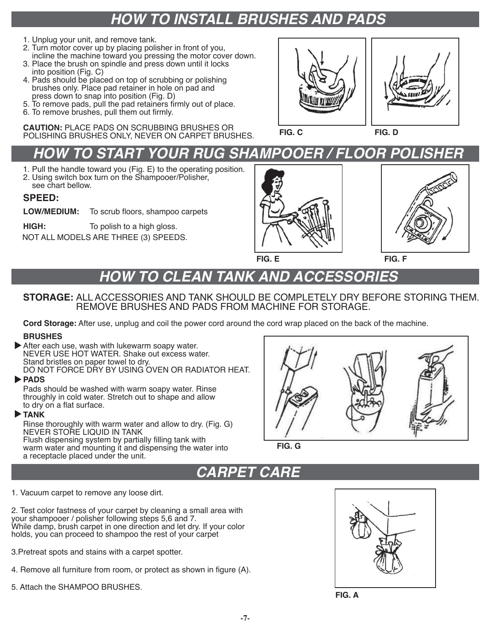# *HOW TO INSTALL BRUSHES AND PADS*

- 1. Unplug your unit, and remove tank.
- 2. Turn motor cover up by placing polisher in front of you, incline the machine toward you pressing the motor cover down.
- 3. Place the brush on spindle and press down until it locks into position (Fig. C)
- 4. Pads should be placed on top of scrubbing or polishing brushes only. Place pad retainer in hole on pad and press down to snap into position (Fig. D)
- 5. To remove pads, pull the pad retainers firmly out of place.
- 6. To remove brushes, pull them out firmly.

**CAUTION:** PLACE PADS ON SCRUBBING BRUSHES OR POLISHING BRUSHES ONLY, NEVER ON CARPET BRUSHES. **FIG. C FIG. D**



# **HOW TO START YOUR RUG SHAMPOOER / FLOOR POLISH**

- 1. Pull the handle toward you (Fig. E) to the operating position.
- 2. Using switch box turn on the Shampooer/Polisher, see chart bellow.
- 

### **SPEED:**

- **LOW/MEDIUM:** To scrub floors, shampoo carpets
- **HIGH:** To polish to a high gloss.

NOT ALL MODELS ARE THREE (3) SPEEDS.





**FIG. E FIG. F**

# *HOW TO CLEAN TANK AND ACCESSORIES*

### **STORAGE:** ALL ACCESSORIES AND TANK SHOULD BE COMPLETELY DRY BEFORE STORING THEM. REMOVE BRUSHES AND PADS FROM MACHINE FOR STORAGE.

**Cord Storage:** After use, unplug and coil the power cord around the cord wrap placed on the back of the machine.

### **BRUSHES**

After each use, wash with lukewarm soapy water. NEVER USE HOT WATER. Shake out excess water. Stand bristles on paper towel to dry. DO NOT FORCE DRY BY USING OVEN OR RADIATOR HEAT.

### **PADS**

Pads should be washed with warm soapy water. Rinse throughly in cold water. Stretch out to shape and allow to dry on a flat surface.

### **TANK**

Rinse thoroughly with warm water and allow to dry. (Fig. G) NEVER STORE LIQUID IN TANK Flush dispensing system by partially filling tank with warm water and mounting it and dispensing the water into a receptacle placed under the unit.



**FIG. G**

# *CARPET CARE*

1. Vacuum carpet to remove any loose dirt.

2. Test color fastness of your carpet by cleaning a small area with your shampooer / polisher following steps 5,6 and 7. While damp, brush carpet in one direction and let dry. If your color holds, you can proceed to shampoo the rest of your carpet

- 3.Pretreat spots and stains with a carpet spotter.
- 4. Remove all furniture from room, or protect as shown in figure (A).
- 5. Attach the SHAMPOO BRUSHES.



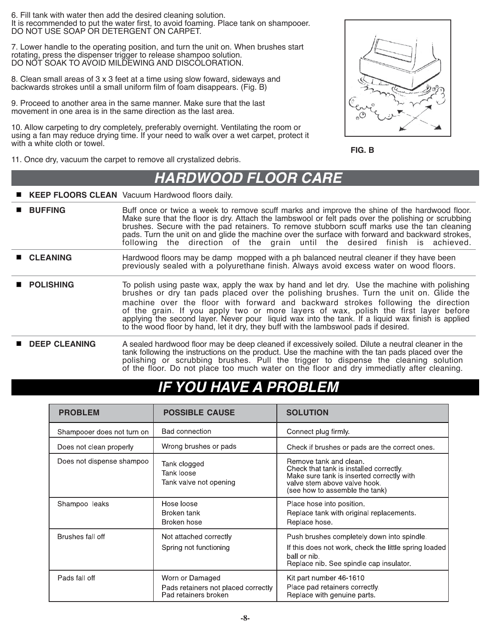6. Fill tank with water then add the desired cleaning solution. It is recommended to put the water first, to avoid foaming. Place tank on shampooer. DO NOT USE SOAP OR DETERGENT ON CARPET.

7. Lower handle to the operating position, and turn the unit on. When brushes start rotating, press the dispenser trigger to release shampoo solution. DO NOT SOAK TO AVOID MILDEWING AND DISCOLORATION.

8. Clean small areas of 3 x 3 feet at a time using slow foward, sideways and backwards strokes until a small uniform film of foam disappears. (Fig. B)

9. Proceed to another area in the same manner. Make sure that the last movement in one area is in the same direction as the last area.

10. Allow carpeting to dry completely, preferably overnight. Ventilating the room or using a fan may reduce drying time. If your need to walk over a wet carpet, protect it with a white cloth or towel.



11. Once dry, vacuum the carpet to remove all crystalized debris.

### *HARDWOOD FLOOR CARE*

**KEEP FLOORS CLEAN** Vacuum Hardwood floors daily.

| <b>BUFFING</b> | Buff once or twice a week to remove scuff marks and improve the shine of the hardwood floor.<br>Make sure that the floor is dry. Attach the lambswool or felt pads over the polishing or scrubbing<br>brushes. Secure with the pad retainers. To remove stubborn scuff marks use the tan cleaning<br>pads. Turn the unit on and glide the machine over the surface with forward and backward strokes,<br>following the direction of the grain until the desired finish is achieved. |  |  |  |  |
|----------------|-------------------------------------------------------------------------------------------------------------------------------------------------------------------------------------------------------------------------------------------------------------------------------------------------------------------------------------------------------------------------------------------------------------------------------------------------------------------------------------|--|--|--|--|
|                |                                                                                                                                                                                                                                                                                                                                                                                                                                                                                     |  |  |  |  |

- **CLEANING** Hardwood floors may be damp mopped with a ph balanced neutral cleaner if they have been previously sealed with a polyurethane finish. Always avoid excess water on wood floors.
- **POLISHING** To polish using paste wax, apply the wax by hand and let dry. Use the machine with polishing brushes or dry tan pads placed over the polishing brushes. Turn the unit on. Glide the machine over the floor with forward and backward strokes following the direction of the grain. If you apply two or more layers of wax, polish the first layer before applying the second layer. Never pour liquid wax into the tank. If a liquid wax finish is applied to the wood floor by hand, let it dry, they buff with the lambswool pads if desired.
- **DEEP CLEANING** A sealed hardwood floor may be deep cleaned if excessively soiled. Dilute a neutral cleaner in the tank following the instructions on the product. Use the machine with the tan pads placed over the polishing or scrubbing brushes. Pull the trigger to dispense the cleaning solution of the floor. Do not place too much water on the floor and dry immediatly after cleaning.

# *IFAVE A PROBLEM*

| <b>PROBLEM</b>             | <b>POSSIBLE CAUSE</b>                                                          | <b>SOLUTION</b>                                                                                                                                                                  |
|----------------------------|--------------------------------------------------------------------------------|----------------------------------------------------------------------------------------------------------------------------------------------------------------------------------|
| Shampooer does not turn on | <b>Bad connection</b>                                                          | Connect plug firmly                                                                                                                                                              |
| Does not clean properly    | Wrong brushes or pads                                                          | Check if brushes or pads are the correct ones.                                                                                                                                   |
| Does not dispense shampoo  | Tank clogged<br><b>Tank loose</b><br>Tank valve not opening                    | Remove tank and clean.<br>Check that tank is installed correctly.<br>Make sure tank is inserted correctly with<br>valve stem above valve hook.<br>(see how to assemble the tank) |
| Shampoo leaks              | Hose loose<br>Broken tank<br>Broken hose                                       | Place hose into position.<br>Replace tank with original replacements.<br>Replace hose.                                                                                           |
| Brushes fall off           | Not attached correctly<br>Spring not functioning                               | Push brushes completely down into spindle.<br>If this does not work, check the little spring loaded<br>ball or nib.<br>Replace nib. See spindle cap insulator.                   |
| Pads fall off              | Worn or Damaged<br>Pads retainers not placed correctly<br>Pad retainers broken | Kit part number 46-1610<br>Place pad retainers correctly.<br>Replace with genuine parts.                                                                                         |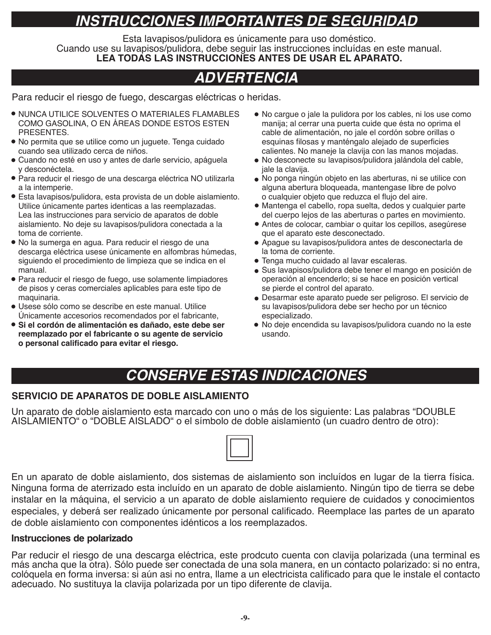# *INSTRUCCIONES IMPORTANTES DE SEGURIDAD*

Esta lavapisos/pulidora es únicamente para uso doméstico. Cuando use su lavapisos/pulidora, debe seguir las instrucciones incluídas en este manual. **LEA TODAS LAS INSTRUCCIONES ANTES DE USAR EL APARATO.**

# *ADVERTENCIA*

Para reducir el riesgo de fuego, descargas eléctricas o heridas.

- NUNCA UTILICE SOLVENTES O MATERIALES FLAMABLES COMO GASOLINA, O EN ÁREAS DONDE ESTOS ESTEN PRESENTES.
- No permita que se utilice como un juguete. Tenga cuidado cuando sea utilizado cerca de niños.
- Cuando no esté en uso y antes de darle servicio, apáguela y desconéctela.
- Para reducir el riesgo de una descarga eléctrica NO utilizarla a la intemperie.
- Esta lavapisos/pulidora, esta provista de un doble aislamiento. Utilice únicamente partes identicas a las reemplazadas. Lea las instrucciones para servicio de aparatos de doble aislamiento. No deje su lavapisos/pulidora conectada a la toma de corriente.
- No la sumerga en agua. Para reducir el riesgo de una descarga eléctrica usese únicamente en alfombras húmedas, siguiendo el procedimiento de limpieza que se indica en el manual.
- Para reducir el riesgo de fuego, use solamente limpiadores de pisos y ceras comerciales aplicables para este tipo de maquinaria.
- Usese sólo como se describe en este manual. Utilice Únicamente accesorios recomendados por el fabricante,
- **Si el cordón de alimentación es dañado, este debe ser reemplazado por el fabricante o su agente de servicio o personal calificado para evitar el riesgo.**
- No cargue o jale la pulidora por los cables, ni los use como manija; al cerrar una puerta cuide que ésta no oprima el cable de alimentación, no jale el cordón sobre orillas o esquinas filosas y manténgalo alejado de superficies calientes. No maneje la clavija con las manos mojadas.
- No desconecte su lavapisos/pulidora jalándola del cable, jale la clavija.
- No ponga ningún objeto en las aberturas, ni se utilice con alguna abertura bloqueada, mantengase libre de polvo o cualquier objeto que reduzca el flujo del aire.
- Mantenga el cabello, ropa suelta, dedos y cualquier parte del cuerpo lejos de las aberturas o partes en movimiento.
- Antes de colocar, cambiar o quitar los cepillos, asegúrese que el aparato este desconectado.
- Apague su lavapisos/pulidora antes de desconectarla de la toma de corriente.
- Tenga mucho cuidado al lavar escaleras.
- Sus lavapisos/pulidora debe tener el mango en posición de operación al encenderlo; si se hace en posición vertical se pierde el control del aparato.
- Desarmar este aparato puede ser peligroso. El servicio de su lavapisos/pulidora debe ser hecho por un técnico especializado.
- No deje encendida su lavapisos/pulidora cuando no la este usando.

# *CONSERVE ESTAS INDICACIONES*

### **SERVICIO DE APARATOS DE DOBLE AISLAMIENTO**

Un aparato de doble aislamiento esta marcado con uno o más de los siguiente: Las palabras "DOUBLE AISLAMIENTO" o "DOBLE AISLADO" o el símbolo de doble aislamiento (un cuadro dentro de otro):

En un aparato de doble aislamiento, dos sistemas de aislamiento son incluídos en lugar de la tierra física. Ninguna forma de aterrizado esta incluído en un aparato de doble aislamiento. Ningún tipo de tierra se debe instalar en la máquina, el servicio a un aparato de doble aislamiento requiere de cuidados y conocimientos especiales, y deberá ser realizado únicamente por personal calificado. Reemplace las partes de un aparato de doble aislamiento con componentes idénticos a los reemplazados.

### **Instrucciones de polarizado**

Par reducir el riesgo de una descarga eléctrica, este prodcuto cuenta con clavija polarizada (una terminal es más ancha que la otra). Sólo puede ser conectada de una sola manera, en un contacto polarizado: si no entra, colóquela en forma inversa: si aún asi no entra, llame a un electricista calificado para que le instale el contacto adecuado. No sustituya la clavija polarizada por un tipo diferente de clavija.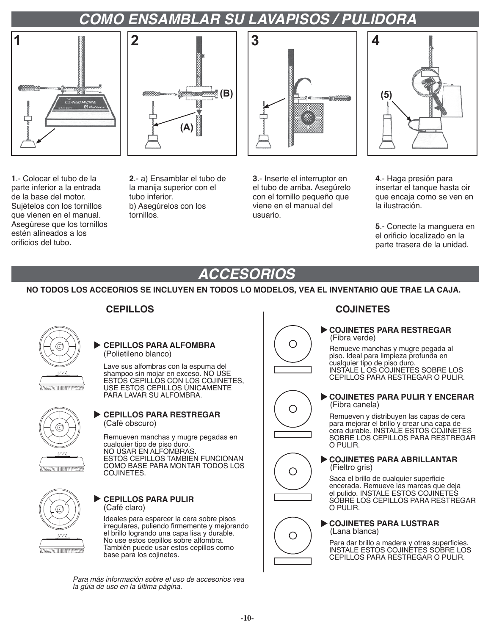# *COMO ENSAMBLAR SU LAVAPISOS / PULIDORA*



**1**.- Colocar el tubo de la parte inferior a la entrada de la base del motor. Sujételos con los tornillos que vienen en el manual. Asegúrese que los tornillos estén alineados a los orificios del tubo.



**2**.- a) Ensamblar el tubo de la manija superior con el tubo inferior. b) Asegúrelos con los tornillos.



**3**.- Inserte el interruptor en el tubo de arriba. Asegúrelo con el tornillo pequeño que viene en el manual del usuario.

O

О

Ω

O



**4**.- Haga presión para insertar el tanque hasta oir que encaja como se ven en la ilustración.

**5**.- Conecte la manguera en el orificio localizado en la parte trasera de la unidad.

# *ACCESORIOS*

**NO TODOS LOS ACCEORIOS SE INCLUYEN EN TODOS LO MODELOS, VEA EL INVENTARIO QUE TRAE LA CAJA.** 



#### **CEPILLOS PARA ALFOMBRA** (Polietileno blanco)

Lave sus alfombras con la espuma del shampoo sin mojar en exceso. NO USE ESTOS CEPILLOS CON LOS COJINETES, USE ESTOS CEPILLOS ÚNICAMENTE PARA LAVAR SU ALFOMBRA.



### **CEPILLOS PARA RESTREGAR** (Café obscuro)

Remueven manchas y mugre pegadas en cualquier tipo de piso duro. NO USAR EN ALFOMBRAS. ESTOS CEPILLOS TAMBIEN FUNCIONAN COMO BASE PARA MONTAR TODOS LOS COJINETES.



#### **CEPILLOS PARA PULIR** (Café claro)

Ideales para esparcer la cera sobre pisos irregulares, puliendo firmemente y mejorando el brillo logrando una capa lisa y durable. No use estos cepillos sobre alfombra. También puede usar estos cepillos como base para los cojinetes.

*Para más información sobre el uso de accesorios vea la gúia de uso en la última página.*

### **CEPILLOS COJINETES**

#### **COJINETES PARA RESTREGAR** (Fibra verde)

Remueve manchas y mugre pegada al piso. Ideal para limpieza profunda en cualquier tipo de piso duro. INSTALE L OS COJINETES SOBRE LOS CEPILLOS PARA RESTREGAR O PULIR.

### **COJINETES PARA PULIR Y ENCERAR** (Fibra canela)

Remueven y distribuyen las capas de cera para mejorar el brillo y crear una capa de cera durable. INSTALE ESTOS COJINETES SOBRE LOS CEPILLOS PARA RESTREGAR O PULIR.

#### **COJINETES PARA ABRILLANTAR** (Fieltro gris)

Saca el brillo de cualquier superficie encerada. Remueve las marcas que deja el pulido. INSTALE ESTOS COJINETES SOBRE LOS CEPILLOS PARA RESTREGAR O PULIR.

#### **COJINETES PARA LUSTRAR** (Lana blanca)

Para dar brillo a madera y otras superficies. INSTALE ESTOS COJINETES SOBRE LOS CEPILLOS PARA RESTREGAR O PULIR.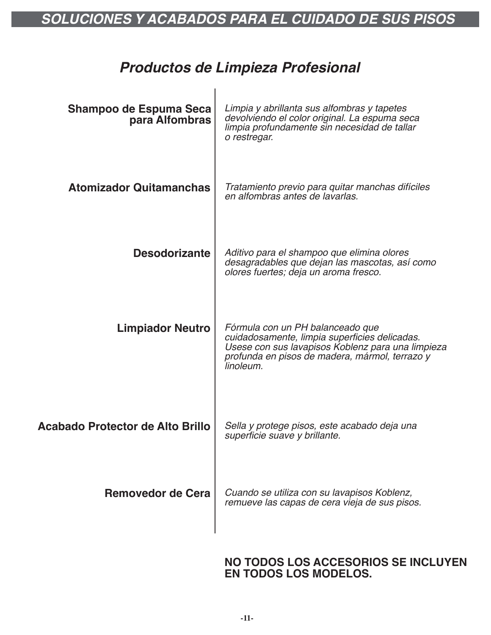# *SOLUCIONES Y ACABADOS PARA EL CUIDADO DE SUS PISOS*

### *Productos de Limpieza Profesional*

| Shampoo de Espuma Seca<br>para Alfombras | Limpia y abrillanta sus alfombras y tapetes<br>devolviendo el color original. La espuma seca<br>limpia profundamente sin necesidad de tallar<br>o restregar.                                          |
|------------------------------------------|-------------------------------------------------------------------------------------------------------------------------------------------------------------------------------------------------------|
| <b>Atomizador Quitamanchas</b>           | Tratamiento previo para quitar manchas difíciles<br>en alfombras antes de lavarlas.                                                                                                                   |
| <b>Desodorizante</b>                     | Aditivo para el shampoo que elimina olores<br>desagradables que dejan las mascotas, así como<br>olores fuertes; deja un aroma fresco.                                                                 |
| <b>Limpiador Neutro</b>                  | Fórmula con un PH balanceado que<br>cuidadosamente, limpia superficies delicadas.<br>Usese con sus lavapisos Koblenz para una limpieza<br>profunda en pisos de madera, mármol, terrazo y<br>linoleum. |
| <b>Acabado Protector de Alto Brillo</b>  | Sella y protege pisos, este acabado deja una<br>superficie suave y brillante.                                                                                                                         |
| Removedor de Cera                        | Cuando se utiliza con su lavapisos Koblenz,<br>remueve las capas de cera vieja de sus pisos.                                                                                                          |

### **NO TODOS LOS ACCESORIOS SE INCLUYEN EN TODOS LOS MODELOS.**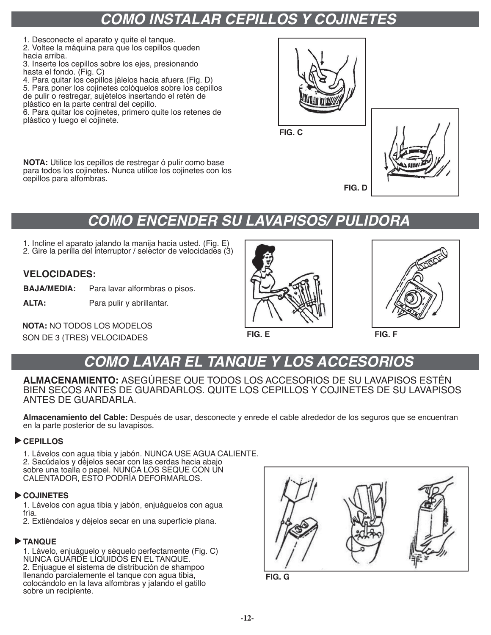# *COMO INSTALAR CEPILLOS Y COJINETES*

1. Desconecte el aparato y quite el tanque.

2. Voltee la máquina para que los cepillos queden hacia arriba.

3. Inserte los cepillos sobre los ejes, presionando hasta el fondo. (Fig. C)

- 4. Para quitar los cepillos jálelos hacia afuera (Fig. D)
- 5. Para poner los cojinetes colóquelos sobre los cepillos de pulir o restregar, sujételos insertando el retén de
- plástico en la parte central del cepillo.

6. Para quitar los cojinetes, primero quite los retenes de plástico y luego el cojinete.

**NOTA:** Utilice los cepillos de restregar ó pulir como base para todos los cojinetes. Nunca utilice los cojinetes con los cepillos para alfombras.



**FIG. C**



**FIG. D**

# *COMO ENCENDER SU LAVAPISOS/ PULIDORA*

1. Incline el aparato jalando la manija hacia usted. (Fig. E) 2. Gire la perilla del interruptor / selector de velocidades (3)

### **VELOCIDADES:**

**BAJA/MEDIA:** Para lavar alformbras o pisos.

**ALTA:** Para pulir y abrillantar.

**NOTA:** NO TODOS LOS MODELOS SON DE 3 (TRES) VELOCIDADES **FIG. E FIG. F**





# *COMO LAVAR EL TANQUE Y LOS ACCESORIOS*

**ALMACENAMIENTO:** ASEGÚRESE QUE TODOS LOS ACCESORIOS DE SU LAVAPISOS ESTÉN BIEN SECOS ANTES DE GUARDARLOS. QUITE LOS CEPILLOS Y COJINETES DE SU LAVAPISOS ANTES DE GUARDARLA.

**Almacenamiento del Cable:** Después de usar, desconecte y enrede el cable alrededor de los seguros que se encuentran en la parte posterior de su lavapisos.

### **CEPILLOS**

1. Lávelos con agua tibia y jabón. NUNCA USE AGUA CALIENTE. 2. Sacúdalos y déjelos secar con las cerdas hacia abajo sobre una toalla o papel. NUNCA LOS SEQUE CON UN CALENTADOR, ESTO PODRÍA DEFORMARLOS.

### **COJINETES**

1. Lávelos con agua tibia y jabón, enjuáguelos con agua fría.

2. Extiéndalos y déjelos secar en una superficie plana.

### **TANQUE**

1. Lávelo, enjuáguelo y séquelo perfectamente (Fig. C) NUNCA GUARDE LÍQUIDOS EN EL TANQUE. 2. Enjuague el sistema de distribución de shampoo llenando parcialemente el tanque con agua tibia, colocándolo en la lava alfombras y jalando el gatillo sobre un recipiente.



**FIG. G**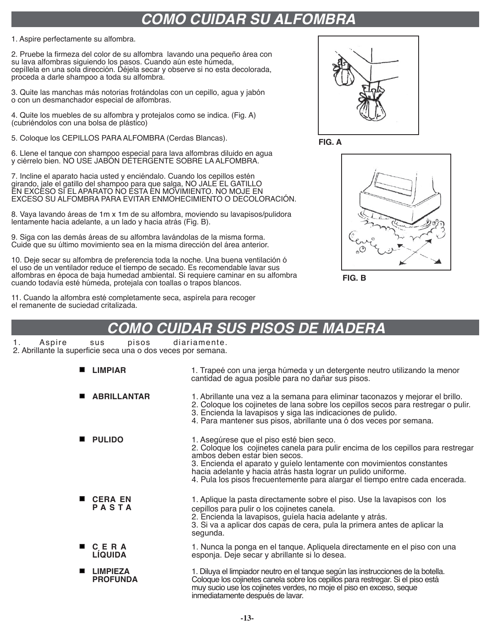### *COMO CUIDAR SU ALFOMBRA*

1. Aspire perfectamente su alfombra.

2. Pruebe la firmeza del color de su alfombra lavando una pequeño área con su lava alfombras siguiendo los pasos. Cuando aún este húmeda, cepíllela en una sola dirección. Déjela secar y observe si no esta decolorada, proceda a darle shampoo a toda su alfombra.

3. Quite las manchas más notorias frotándolas con un cepillo, agua y jabón o con un desmanchador especial de alfombras.

4. Quite los muebles de su alfombra y protejalos como se indica. (Fig. A) (cubriéndolos con una bolsa de plástico)

5. Coloque los CEPILLOS PARA ALFOMBRA (Cerdas Blancas).

6. Llene el tanque con shampoo especial para lava alfombras diluido en agua y ciérrelo bien. NO USE JABÓN DETERGENTE SOBRE LA ALFOMBRA.

7. Incline el aparato hacia usted y enciéndalo. Cuando los cepillos estén girando, jale el gatillo del shampoo para que salga, NO JALE EL GATILLO EN EXCESO SI EL APARATO NO ESTA EN MOVIMIENTO. NO MOJE EN EXCESO SU ALFOMBRA PARA EVITAR ENMOHECIMIENTO O DECOLORACIÓN.

8. Vaya lavando áreas de 1m x 1m de su alfombra, moviendo su lavapisos/pulidora lentamente hacia adelante, a un lado y hacia atrás (Fig. B).

9. Siga con las demás áreas de su alfombra lavándolas de la misma forma. Cuide que su último movimiento sea en la misma dirección del área anterior.

10. Deje secar su alfombra de preferencia toda la noche. Una buena ventilación ó el uso de un ventilador reduce el tiempo de secado. Es recomendable lavar sus alfombras en época de baja humedad ambiental. Si requiere caminar en su alfombra cuando todavía esté húmeda, protejala con toallas o trapos blancos.

11. Cuando la alfombra esté completamente seca, aspírela para recoger el remanente de suciedad critalizada.



**FIG. A**



**FIG. B**

### *COMO CUIDAR SUS PISOS DE MADERA*

1. Aspire sus pisos diariamente.

2. Abrillante la superficie seca una o dos veces por semana.

| ш | <b>LIMPIAR</b>                     | 1. Trapeé con una jerga húmeda y un detergente neutro utilizando la menor<br>cantidad de agua posible para no dañar sus pisos.                                                                                                                                                                                                                                                          |
|---|------------------------------------|-----------------------------------------------------------------------------------------------------------------------------------------------------------------------------------------------------------------------------------------------------------------------------------------------------------------------------------------------------------------------------------------|
| ш | <b>ABRILLANTAR</b>                 | 1. Abrillante una vez a la semana para eliminar taconazos y mejorar el brillo.<br>2. Coloque los cojinetes de lana sobre los cepillos secos para restregar o pulir.<br>3. Encienda la lavapisos y siga las indicaciones de pulido.<br>4. Para mantener sus pisos, abrillante una ó dos veces por semana.                                                                                |
|   | <b>PULIDO</b>                      | 1. Asegúrese que el piso esté bien seco.<br>2. Coloque los cojinetes canela para pulir encima de los cepillos para restregar<br>ambos deben estar bien secos.<br>3. Encienda el aparato y guíelo lentamente con movimientos constantes<br>hacia adelante y hacia atrás hasta lograr un pulido uniforme.<br>4. Pula los pisos frecuentemente para alargar el tiempo entre cada encerada. |
|   | <b>CERA EN</b><br>PASTA            | 1. Aplique la pasta directamente sobre el piso. Use la lavapisos con los<br>cepillos para pulir o los cojinetes canela.<br>2. Encienda la lavapisos, guíela hacia adelante y atrás.<br>3. Si va a aplicar dos capas de cera, pula la primera antes de aplicar la<br>segunda.                                                                                                            |
|   | C E R A<br><b>LIQUIDA</b>          | 1. Nunca la ponga en el tanque. Apliquela directamente en el piso con una<br>esponja. Deje secar y abrillante si lo desea.                                                                                                                                                                                                                                                              |
|   | <b>LIMPIEZA</b><br><b>PROFUNDA</b> | 1. Diluya el limpiador neutro en el tanque según las instrucciones de la botella.<br>Coloque los cojinetes canela sobre los cepillos para restregar. Si el piso está<br>muy sucio use los cojinetes verdes, no moje el piso en exceso, seque<br>inmediatamente después de lavar.                                                                                                        |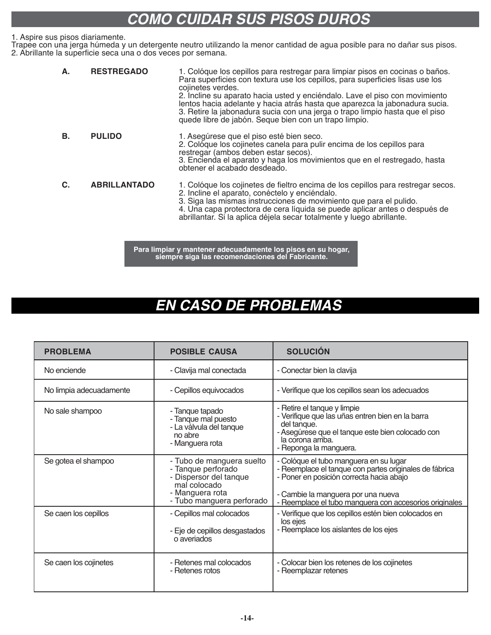### *COMO CUIDAR SUS PISOS DUROS*

#### 1. Aspire sus pisos diariamente.

Trapee con una jerga húmeda y un detergente neutro utilizando la menor cantidad de agua posible para no dañar sus pisos. 2. Abrillante la superficie seca una o dos veces por semana.

| Α. | <b>RESTREGADO</b>   | 1. Colóque los cepillos para restregar para limpiar pisos en cocinas o baños.<br>Para superficies con textura use los cepillos, para superficies lisas use los<br>cojinetes verdes.<br>2. Incline su aparato hacia usted y enciéndalo. Lave el piso con movimiento<br>lentos hacia adelante y hacia atrás hasta que aparezca la jabonadura sucia.<br>3. Retire la jabonadura sucia con una jerga o trapo limpio hasta que el piso<br>quede libre de jabón. Seque bien con un trapo limpio. |
|----|---------------------|--------------------------------------------------------------------------------------------------------------------------------------------------------------------------------------------------------------------------------------------------------------------------------------------------------------------------------------------------------------------------------------------------------------------------------------------------------------------------------------------|
| В. | <b>PULIDO</b>       | 1. Asegúrese que el piso esté bien seco.<br>2. Colóque los cojinetes canela para pulir encima de los cepillos para<br>restregar (ambos deben estar secos).<br>3. Encienda el aparato y haga los movimientos que en el restregado, hasta<br>obtener el acabado desdeado.                                                                                                                                                                                                                    |
| C. | <b>ABRILLANTADO</b> | 1. Colóque los cojinetes de fieltro encima de los cepillos para restregar secos.<br>2. Incline el aparato, conéctelo y enciéndalo.<br>3. Siga las mismas instrucciones de movimiento que para el pulido.<br>4. Una capa protectora de cera líquida se puede aplicar antes o después de<br>abrillantar. Si la aplica déjela secar totalmente y luego abrillante.                                                                                                                            |

**Para limpiar y mantener adecuadamente los pisos en su hogar, siempre siga las recomendaciones del Fabricante.**

### *EN CASO DE PROBLEMAS*

| <b>PROBLEMA</b>         | <b>POSIBLE CAUSA</b>                                                                                                                      | <b>SOLUCIÓN</b>                                                                                                                                                                                                                              |
|-------------------------|-------------------------------------------------------------------------------------------------------------------------------------------|----------------------------------------------------------------------------------------------------------------------------------------------------------------------------------------------------------------------------------------------|
| No enciende             | - Clavija mal conectada                                                                                                                   | - Conectar bien la clavija                                                                                                                                                                                                                   |
| No limpia adecuadamente | - Cepillos equivocados                                                                                                                    | - Verifique que los cepillos sean los adecuados                                                                                                                                                                                              |
| No sale shampoo         | - Tanque tapado<br>- Tanque mal puesto<br>- La válvula del tanque<br>no abre<br>- Manguera rota                                           | - Retire el tanque y limpie<br>- Verifique que las uñas entren bien en la barra<br>del tanque.<br>- Asegúrese que el tanque este bien colocado con<br>la corona arriba.<br>- Reponga la manguera.                                            |
| Se gotea el shampoo     | - Tubo de manguera suelto<br>- Tanque perforado<br>- Dispersor del tanque<br>mal colocado<br>- Manguera rota<br>- Tubo manguera perforado | - Colóque el tubo manguera en su lugar<br>- Reemplace el tanque con partes originales de fábrica<br>- Poner en posición correcta hacia abajo<br>- Cambie la manguera por una nueva<br>- Reemplace el tubo manquera con accesorios originales |
| Se caen los cepillos    | - Cepillos mal colocados<br>- Eje de cepillos desgastados<br>o averiados                                                                  | - Verifique que los cepillos estén bien colocados en<br>los ejes<br>- Reemplace los aislantes de los ejes                                                                                                                                    |
| Se caen los cojinetes   | - Retenes mal colocados<br>- Retenes rotos                                                                                                | - Colocar bien los retenes de los cojinetes<br>- Reemplazar retenes                                                                                                                                                                          |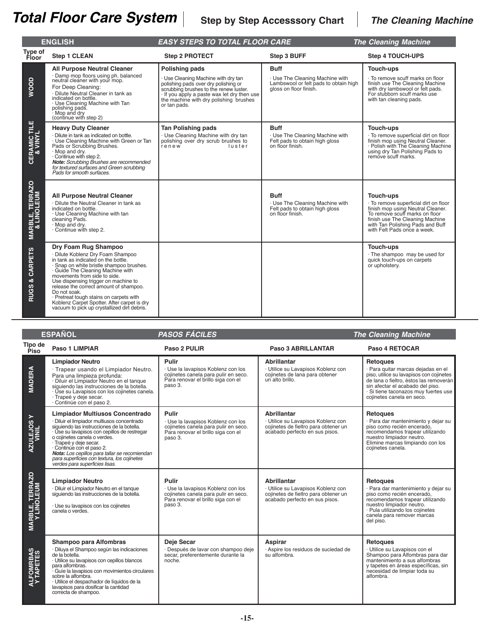|                                           | <b>ENGLISH</b>                                                                                                                                                                                                                                                                                                                                                                                                                                               | <b>EASY STEPS TO TOTAL FLOOR CARE</b>                                                                                                                                                                                                                 |                                                                                                                   | <b>The Cleaning Machine</b>                                                                                                                                                                                                     |
|-------------------------------------------|--------------------------------------------------------------------------------------------------------------------------------------------------------------------------------------------------------------------------------------------------------------------------------------------------------------------------------------------------------------------------------------------------------------------------------------------------------------|-------------------------------------------------------------------------------------------------------------------------------------------------------------------------------------------------------------------------------------------------------|-------------------------------------------------------------------------------------------------------------------|---------------------------------------------------------------------------------------------------------------------------------------------------------------------------------------------------------------------------------|
| Type of<br>Floor                          | <b>Step 1 CLEAN</b>                                                                                                                                                                                                                                                                                                                                                                                                                                          | <b>Step 2 PROTECT</b>                                                                                                                                                                                                                                 | Step 3 BUFF                                                                                                       | <b>Step 4 TOUCH-UPS</b>                                                                                                                                                                                                         |
| WOOD                                      | <b>All Purpose Neutral Cleaner</b><br>· Damp mop floors using ph. balanced<br>neutral cleaner with your mop.<br>For Deep Cleaning:<br>· Dilute Neutral Cleaner in tank as<br>indicated on bottle.<br>· Use Cleaning Machine with Tan<br>polishing pads.<br>Mop and dry<br>(continue with step 2)                                                                                                                                                             | <b>Polishing pads</b><br>· Use Cleaning Machine with dry tan<br>polishing pads over dry polishing or<br>scrubbing brushes to the renew luster.<br>If you apply a paste wax let dry then use<br>the machine with dry polishing brushes<br>or tan pads. | <b>Buff</b><br>· Use The Cleaning Machine with<br>Lambswool or felt pads to obtain high<br>aloss on floor finish. | Touch-ups<br>· To remove scuff marks on floor<br>finish use The Cleaning Machine<br>with dry lambswool or felt pads.<br>For stubborn scuff marks use<br>with tan cleaning pads.                                                 |
| <b>CERAMIC TILE<br/>&amp; VINYL</b>       | <b>Heavy Duty Cleaner</b><br>· Dilute in tank as indicated on bottle.<br>· Use Cleaning Machine with Green or Tan<br>Pads or Scrubbing Brushes.<br>· Mop and dry.<br>Continue with step 2.<br>Note: Scrubbing Brushes are recommended<br>for textured surfaces and Green scrubbing<br>Pads for smooth surfaces.                                                                                                                                              | <b>Tan Polishing pads</b><br>· Use Cleaning Machine with dry tan<br>polishing over dry scrub brushes to<br>renew<br>luster                                                                                                                            | <b>Buff</b><br>· Use The Cleaning Machine with<br>Felt pads to obtain high gloss<br>on floor finish.              | <b>Touch-ups</b><br>· To remove superficial dirt on floor<br>finish mop using Neutral Cleaner.<br>· Polish with The Cleaning Machine<br>using dry Tan Polishing Pads to<br>remove scuff marks.                                  |
| <b>MARBLE, TERRAZO<br/>&amp; LINOLEUM</b> | <b>All Purpose Neutral Cleaner</b><br>· Dilute the Neutral Cleaner in tank as<br>indicated on bottle.<br>· Use Cleaning Machine with tan<br>cleaning Pads.<br>· Mop and dry.<br>Continue with step 2.                                                                                                                                                                                                                                                        |                                                                                                                                                                                                                                                       | <b>Buff</b><br>· Use The Cleaning Machine with<br>Felt pads to obtain high gloss<br>on floor finish.              | Touch-ups<br>· To remove superficial dirt on floor<br>finish mop using Neutral Cleaner.<br>To remove scuff marks on floor<br>finish use The Cleaning Machine<br>with Tan Polishing Pads and Buff<br>with Felt Pads once a week. |
| & CARPETS<br>RUGS                         | Dry Foam Rug Shampoo<br>· Dilute Koblenz Dry Foam Shampoo<br>in tank as indicated on the bottle.<br>· Snap on white bristle shampoo brushes.<br>· Guide The Cleaning Machine with<br>movements from side to side.<br>Use dispensing trigger on machine to<br>release the correct amount of shampoo.<br>Do not soak.<br>· Pretreat tough stains on carpets with<br>Koblenz Carpet Spotter. After carpet is dry<br>vacuum to pick up crystallized dirt debris. |                                                                                                                                                                                                                                                       |                                                                                                                   | Touch-ups<br>· The shampoo may be used for<br>quick touch-ups on carpets<br>or upholstery.                                                                                                                                      |

|                                       | <b>ESPAÑOL</b>                                                                                                                                                                                                                                                                                                                                                                                               | <b>PASOS FÁCILES</b>                                                                                                                 |                                                                                                                                    | <b>The Cleaning Machine</b>                                                                                                                                                                                                                          |
|---------------------------------------|--------------------------------------------------------------------------------------------------------------------------------------------------------------------------------------------------------------------------------------------------------------------------------------------------------------------------------------------------------------------------------------------------------------|--------------------------------------------------------------------------------------------------------------------------------------|------------------------------------------------------------------------------------------------------------------------------------|------------------------------------------------------------------------------------------------------------------------------------------------------------------------------------------------------------------------------------------------------|
| Tipo de<br>Piso                       | Paso 1 LIMPIAR                                                                                                                                                                                                                                                                                                                                                                                               | Paso 2 PULIR                                                                                                                         | Paso 3 ABRILLANTAR                                                                                                                 | Paso 4 RETOCAR                                                                                                                                                                                                                                       |
| <b>MADERA</b>                         | <b>Limpiador Neutro</b><br>· Trapear usando el Limpiador Neutro.<br>Para una limpieza profunda:<br>· Diluir el Limpiador Neutro en el tanque<br>siquiendo las instrucciones de la botella.<br>· Use su Lavapisos con los cojinetes canela.<br>· Trapeé y deje secar.<br>Continúe con el paso 2.                                                                                                              | Pulir<br>· Use la lavapisos Koblenz con los<br>cojinetes canela para pulir en seco.<br>Para renovar el brillo siga con el<br>paso 3. | <b>Abrillantar</b><br>· Utilice su Lavapisos Koblenz con<br>cojinetes de lana para obtener<br>un alto brillo.                      | <b>Retoques</b><br>· Para quitar marcas dejadas en el<br>piso, utilice su lavapisos con cojinetes<br>de lana o fieltro, éstos las removerán<br>sin afectar el acabado del piso.<br>· Si tiene taconazos muy fuertes use<br>cojinetes canela en seco. |
| <b>AZULEJOSY</b><br>VINIL             | <b>Limpiador Multiusos Concentrado</b><br>· Diluir el limpiador multiusos concentrado<br>siquiendo las instrucciones de la botella.<br>· Úse su lavapisos con cepillos de restregar<br>o cojinetes canela o verdes.<br>· Trapeé y deje secar.<br>· Continúe con el paso 2.<br>Nota: Los cepillos para tallar se recomiendan<br>para superficies con textura, los cojinetes<br>verdes para superficies lisas. | Pulir<br>· Use la lavapisos Koblenz con los<br>cojinetes canela para pulir en seco.<br>Para renovar el brillo siga con el<br>paso 3. | <b>Abrillantar</b><br>· Utilice su Lavapisos Koblenz con<br>cojinetes de fieltro para obtener un<br>acabado perfecto en sus pisos. | <b>Retoques</b><br>· Para dar mantenimiento y dejar su<br>piso como recién encerado,<br>recomendamos trapear utilizando<br>nuestro limpiador neutro.<br>Elimine marcas limpiando con los<br>cojinetes canela.                                        |
| <b>MARBLE, TERRAZO<br/>Y LINOLEUM</b> | <b>Limpiador Neutro</b><br>· Diluir el Limpiador Neutro en el tanque<br>siquiendo las instrucciones de la botella.<br>· Use su lavapisos con los cojinetes<br>canela o verdes.                                                                                                                                                                                                                               | Pulir<br>· Use la lavapisos Koblenz con los<br>cojinetes canela para pulir en seco.<br>Para renovar el brillo siga con el<br>paso 3. | <b>Abrillantar</b><br>· Utilice su Lavapisos Koblenz con<br>cojinetes de fieltro para obtener un<br>acabado perfecto en sus pisos. | <b>Retoques</b><br>· Para dar mantenimiento y dejar su<br>piso como recién encerado.<br>recomendamos trapear utilizando<br>nuestro limpiador neutro.<br>· Pula utilizando los cojinetes<br>canela para remover marcas<br>del piso.                   |
| ALFOMRBAS<br>Y TAPETES                | Shampoo para Alfombras<br>· Diluya el Shampoo según las indicaciones<br>de la botella.<br>· Utilice su lavapisos con cepillos blancos<br>para alfombras.<br>Guíe la lavapisos con movimientos circulares<br>sobre la alfombra.<br>· Utilice el despachador de líquidos de la<br>lavapisos para dosificar la cantidad<br>correcta de shampoo.                                                                 | Deje Secar<br>· Después de lavar con shampoo deje<br>secar, preferentemente durante la<br>noche.                                     | Aspirar<br>· Aspire los residuos de suciedad de<br>su alfombra.                                                                    | <b>Retoques</b><br>· Utilice su Lavapisos con el<br>Shampoo para Alfombras para dar<br>mantenimiento a sus alfombras<br>y tapetes en áreas específicas, sin<br>necesidad de limpiar toda su<br>alfombra.                                             |